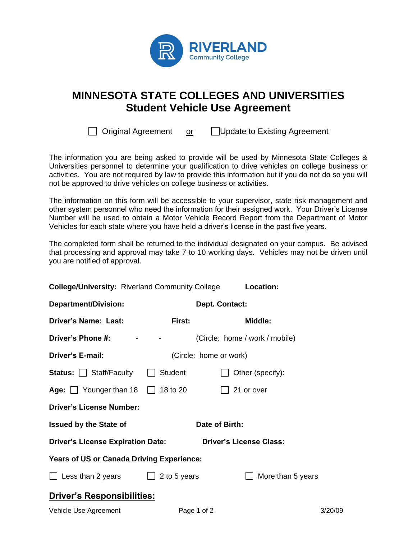

## **MINNESOTA STATE COLLEGES AND UNIVERSITIES Student Vehicle Use Agreement**

Original Agreement or Update to Existing Agreement

The information you are being asked to provide will be used by Minnesota State Colleges & Universities personnel to determine your qualification to drive vehicles on college business or activities. You are not required by law to provide this information but if you do not do so you will not be approved to drive vehicles on college business or activities.

The information on this form will be accessible to your supervisor, state risk management and other system personnel who need the information for their assigned work. Your Driver's License Number will be used to obtain a Motor Vehicle Record Report from the Department of Motor Vehicles for each state where you have held a driver's license in the past five years.

The completed form shall be returned to the individual designated on your campus. Be advised that processing and approval may take 7 to 10 working days. Vehicles may not be driven until you are notified of approval.

| <b>College/University: Riverland Community College</b> |                | Location:                      |  |  |
|--------------------------------------------------------|----------------|--------------------------------|--|--|
| <b>Department/Division:</b>                            | Dept. Contact: |                                |  |  |
| <b>Driver's Name: Last:</b>                            | First:         | Middle:                        |  |  |
| Driver's Phone #:                                      | $    -$        | (Circle: home / work / mobile) |  |  |
| Driver's E-mail:                                       |                | (Circle: home or work)         |  |  |
| <b>Status:</b> $\Box$ Staff/Faculty $\Box$             | Student        | Other (specify):               |  |  |
| Age: $\Box$ Younger than 18 $\Box$ 18 to 20            |                | 21 or over                     |  |  |
| <b>Driver's License Number:</b>                        |                |                                |  |  |
| <b>Issued by the State of</b>                          |                | Date of Birth:                 |  |  |
| <b>Driver's License Expiration Date:</b>               |                | <b>Driver's License Class:</b> |  |  |
| <b>Years of US or Canada Driving Experience:</b>       |                |                                |  |  |
| $\Box$ Less than 2 years $\Box$ 2 to 5 years           |                | More than 5 years              |  |  |
| <b>Driver's Responsibilities:</b>                      |                |                                |  |  |